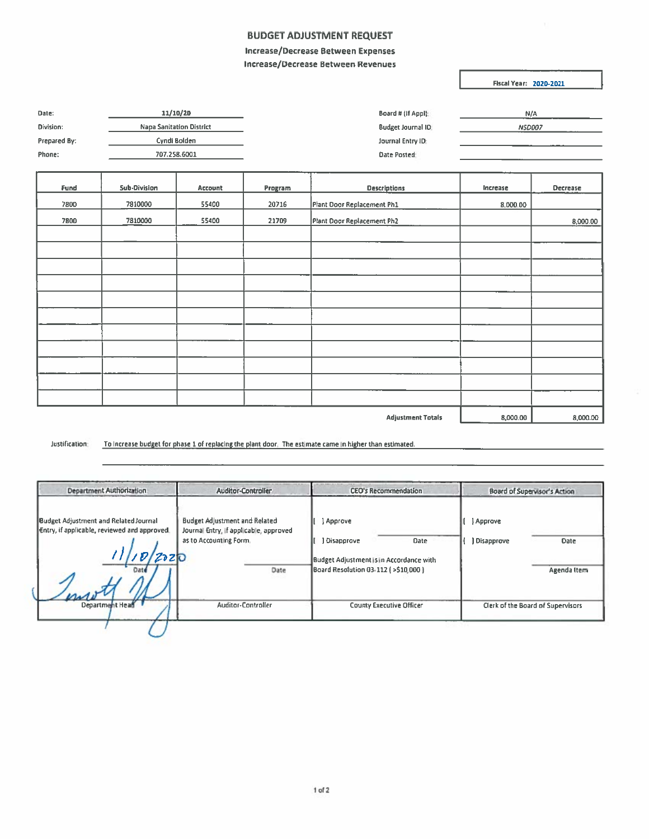## **BUDGET ADJUSTMENT REQUEST**

## Increase/Decrease Between Expenses Increase/Decrease Between Revenues

**Fiscal Year: 2020-2021** 

| 11/10/20                        | Board # (If Appl):        | N/A           |
|---------------------------------|---------------------------|---------------|
| <b>Napa Sanitation District</b> | <b>Budget Journal ID:</b> | <b>NSD007</b> |
| Cyndi Bolden                    | Journal Entry ID:         |               |
| 707.258.6001                    | Date Posted:              |               |
|                                 |                           |               |
|                                 |                           |               |

| Fund                     | <b>Sub-Division</b> | <b>Account</b> | Program | <b>Descriptions</b>        | Increase | Decrease |
|--------------------------|---------------------|----------------|---------|----------------------------|----------|----------|
| 7800                     | 7810000             | 55400          | 20716   | Plant Door Replacement Ph1 | 8,000.00 |          |
| 7800                     | 7810000             | 55400          | 21709   | Plant Door Replacement Ph2 |          | 8,000.00 |
|                          |                     |                |         |                            |          |          |
|                          |                     |                |         |                            |          |          |
|                          |                     |                |         |                            |          |          |
|                          |                     |                |         |                            |          |          |
|                          |                     |                |         |                            |          |          |
|                          |                     |                |         |                            |          |          |
|                          |                     |                |         |                            |          |          |
|                          |                     |                |         |                            |          |          |
|                          |                     |                |         |                            |          |          |
|                          |                     |                |         |                            |          |          |
|                          |                     |                |         |                            |          |          |
| <b>Adjustment Totals</b> |                     |                |         |                            |          | 8,000.00 |

Justification: To increase budget for phase 1 of replacing the plant door. The estimate came in higher than estimated.

| Department Authorization                                                                             | <b>Auditor-Controller</b>                                                                                        | <b>CEO's Recommendation</b>                                                                                                   | Board of Supervisor's Action                   |
|------------------------------------------------------------------------------------------------------|------------------------------------------------------------------------------------------------------------------|-------------------------------------------------------------------------------------------------------------------------------|------------------------------------------------|
| Budget Adjustment and Related Journal<br>Entry, if applicable, reviewed and approved.<br><b>Date</b> | <b>Budget Adjustment and Related</b><br>Journal Entry, if applicable, approved<br>as to Accounting Form.<br>Date | <b>Approve</b><br>Disapprove<br><b>Date</b><br>Budget Adjustment is in Accordance with<br>Board Resolution 03-112 (>\$10,000) | } Approve<br>Disapprove<br>Date<br>Agenda Item |
| Department Head                                                                                      | <b>Auditor-Controller</b>                                                                                        | <b>County Executive Officer</b>                                                                                               | Clerk of the Board of Supervisors              |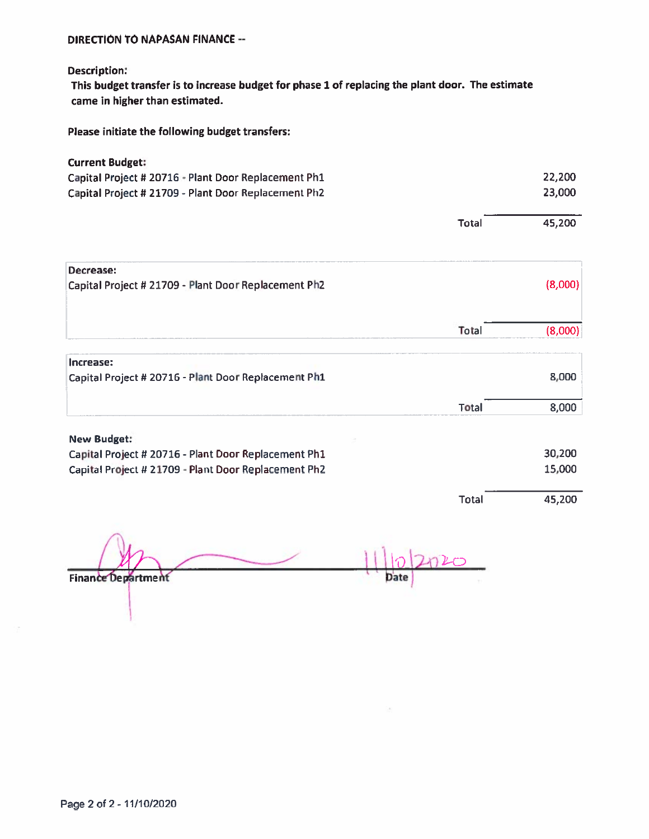## DIRECTION TO NAPASAN FINANCE--

Description:

This budget transfer is to increase budget for <sup>p</sup>hase <sup>1</sup> of replacing the <sup>p</sup>lant door. The estimate came in higher than estimated.

Please initiate the following budget transfers:

| <b>Current Budget:</b>                               |              |         |
|------------------------------------------------------|--------------|---------|
| Capital Project # 20716 - Plant Door Replacement Ph1 |              | 22,200  |
| Capital Project # 21709 - Plant Door Replacement Ph2 |              | 23,000  |
|                                                      | <b>Total</b> | 45,200  |
| Decrease:                                            |              |         |
| Capital Project # 21709 - Plant Door Replacement Ph2 |              | (8,000) |
|                                                      | Total        | (8,000) |
|                                                      |              |         |
| Increase:                                            |              |         |
| Capital Project # 20716 - Plant Door Replacement Ph1 |              | 8,000   |
|                                                      | <b>Total</b> | 8,000   |
| <b>New Budget:</b>                                   |              |         |
| Capital Project # 20716 - Plant Door Replacement Ph1 |              | 30,200  |
| Capital Project # 21709 - Plant Door Replacement Ph2 |              | 15,000  |
|                                                      | <b>Total</b> | 45,200  |
|                                                      |              |         |
|                                                      |              |         |

Finance Department

1 $\overline{\mathcal{C}}$